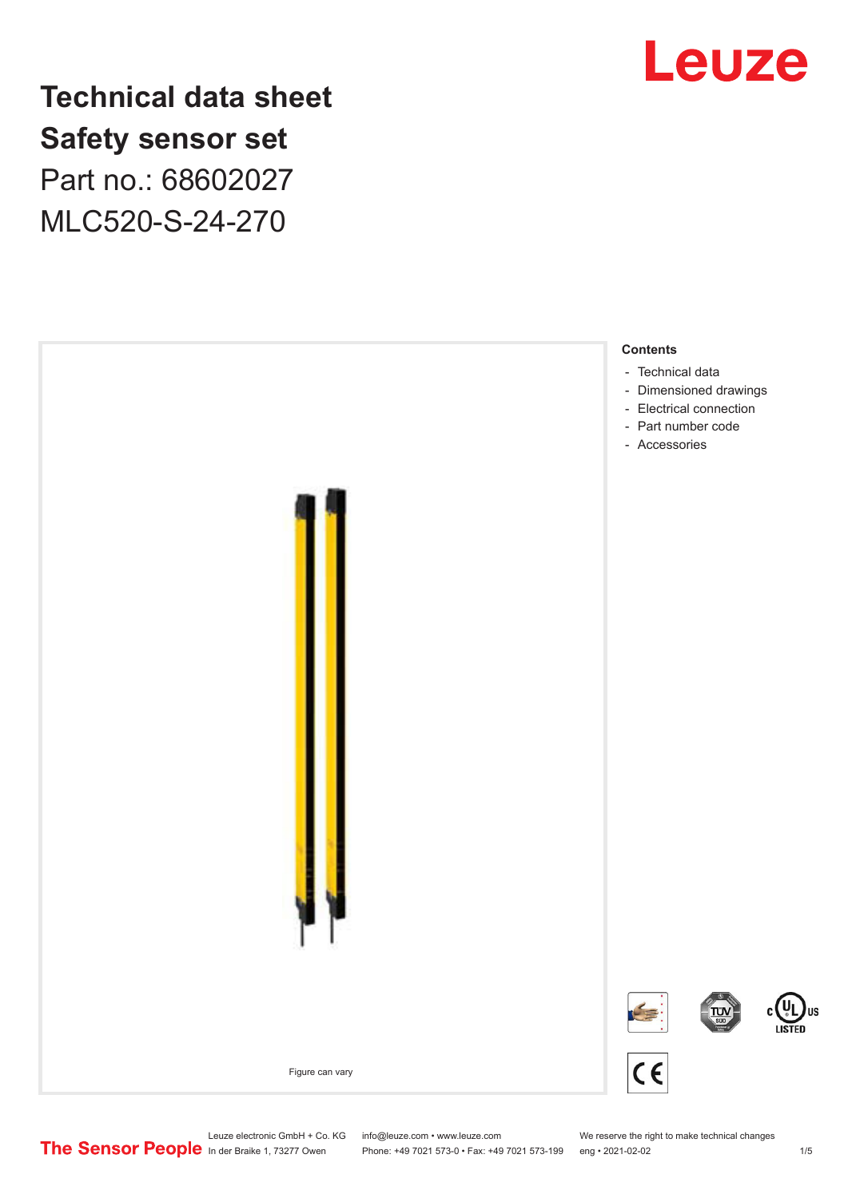

**Technical data sheet Safety sensor set** Part no.: 68602027 MLC520-S-24-270



Leuze electronic GmbH + Co. KG info@leuze.com • www.leuze.com We reserve the right to make technical changes<br> **The Sensor People** in der Braike 1, 73277 Owen Phone: +49 7021 573-0 • Fax: +49 7021 573-199 eng • 2021-02-02

Phone: +49 7021 573-0 • Fax: +49 7021 573-199 eng • 2021-02-02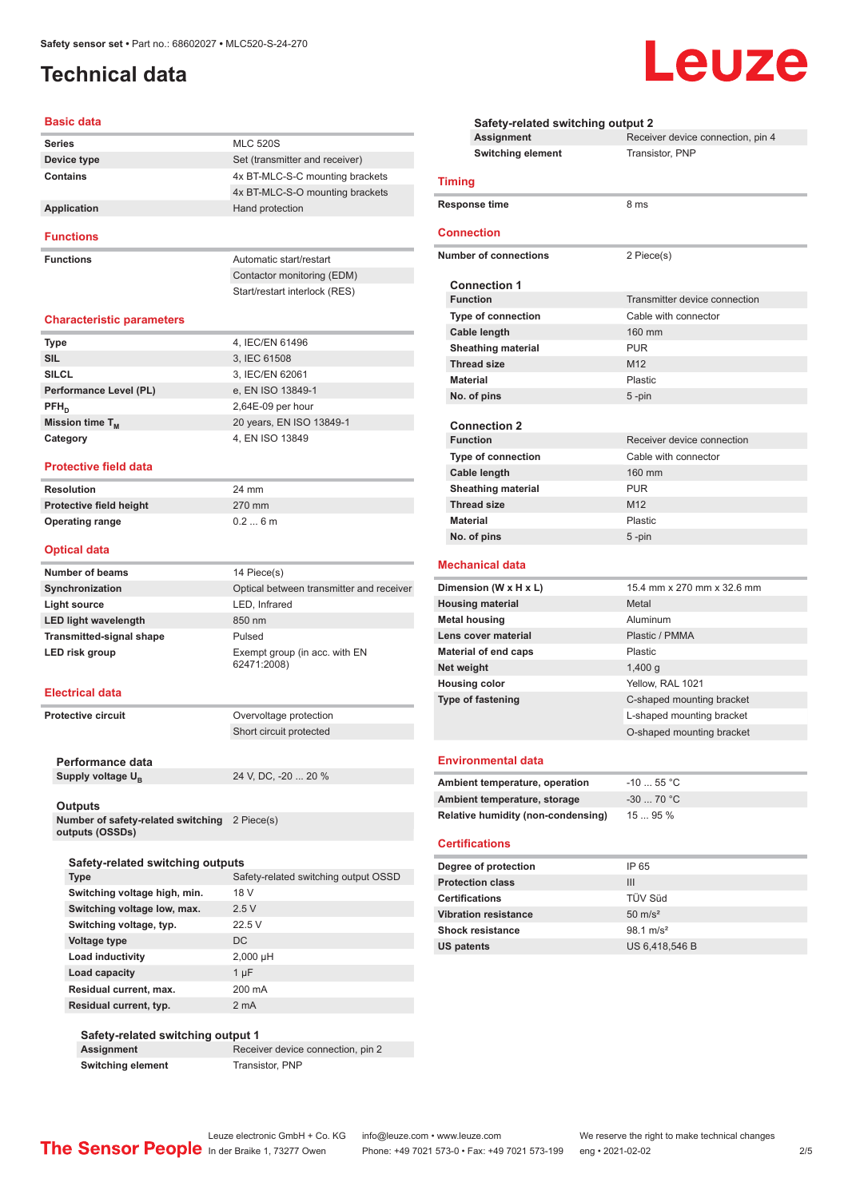## <span id="page-1-0"></span>**Technical data**

#### **Basic data**

| <b>Series</b> | <b>MLC 520S</b>                 |
|---------------|---------------------------------|
| Device type   | Set (transmitter and receiver)  |
| Contains      | 4x BT-MLC-S-C mounting brackets |
|               | 4x BT-MLC-S-O mounting brackets |
| Application   | Hand protection                 |
|               |                                 |

#### **Functions**

**Functions Functions Automatic start/restart** Contactor monitoring (EDM) Start/restart interlock (RES)

#### **Characteristic parameters**

| <b>Type</b>            | 4, IEC/EN 61496          |
|------------------------|--------------------------|
| <b>SIL</b>             | 3, IEC 61508             |
| <b>SILCL</b>           | 3, IEC/EN 62061          |
| Performance Level (PL) | e, EN ISO 13849-1        |
| $PFH_n$                | $2,64E-09$ per hour      |
| Mission time $T_{M}$   | 20 years, EN ISO 13849-1 |
| Category               | 4, EN ISO 13849          |

#### **Protective field data**

| <b>Resolution</b>              | 24 mm  |
|--------------------------------|--------|
| <b>Protective field height</b> | 270 mm |
| <b>Operating range</b>         | 0.26m  |

#### **Optical data**

| <b>Number of beams</b>          | 14 Piece(s)                                  |
|---------------------------------|----------------------------------------------|
| Synchronization                 | Optical between transmitter and receiver     |
| Light source                    | LED, Infrared                                |
| <b>LED light wavelength</b>     | 850 nm                                       |
| <b>Transmitted-signal shape</b> | Pulsed                                       |
| LED risk group                  | Exempt group (in acc. with EN<br>62471:2008) |

#### **Electrical data**

**Protective circuit COVER COVER PROTECTION** Short circuit protected

**Performance data** Supply voltage  $U_B$ 

24 V, DC, -20 ... 20 %

#### **Outputs**

**Number of safety-related switching outputs (OSSDs)** 2 Piece(s)

| Safety-related switching outputs |                                      |
|----------------------------------|--------------------------------------|
| Type                             | Safety-related switching output OSSD |

| Switching voltage high, min. | 18 V       |
|------------------------------|------------|
| Switching voltage low, max.  | 2.5V       |
| Switching voltage, typ.      | 22.5V      |
| Voltage type                 | DC.        |
| Load inductivity             | $2,000$ µH |
| Load capacity                | $1 \mu F$  |
| Residual current, max.       | 200 mA     |
| Residual current, typ.       | 2 mA       |

### **Safety-related switching output 1 Assignment** Receiver device connection, pin 2

**Switching element** Transistor, PNP

| <b>Safety-related switching output 2</b> |                                    |                                   |
|------------------------------------------|------------------------------------|-----------------------------------|
|                                          | Assignment                         | Receiver device connection, pin 4 |
|                                          | <b>Switching element</b>           | Transistor, PNP                   |
| <b>Timing</b>                            |                                    |                                   |
|                                          | <b>Response time</b>               | 8 ms                              |
|                                          | <b>Connection</b>                  |                                   |
|                                          | <b>Number of connections</b>       | 2 Piece(s)                        |
|                                          | <b>Connection 1</b>                |                                   |
|                                          | <b>Function</b>                    | Transmitter device connection     |
|                                          | Type of connection                 | Cable with connector              |
|                                          | <b>Cable length</b>                | 160 mm                            |
|                                          | <b>Sheathing material</b>          | <b>PUR</b>                        |
|                                          | <b>Thread size</b>                 | M <sub>12</sub>                   |
| <b>Material</b>                          |                                    | Plastic                           |
|                                          | No. of pins                        | $5 - pin$                         |
|                                          |                                    |                                   |
|                                          | <b>Connection 2</b>                |                                   |
|                                          | <b>Function</b>                    | Receiver device connection        |
|                                          | <b>Type of connection</b>          | Cable with connector              |
|                                          | Cable length                       | 160 mm                            |
|                                          | <b>Sheathing material</b>          | <b>PUR</b>                        |
|                                          | <b>Thread size</b>                 | M <sub>12</sub>                   |
| <b>Material</b>                          |                                    | Plastic                           |
|                                          | No. of pins                        | $5 - pin$                         |
|                                          | <b>Mechanical data</b>             |                                   |
|                                          | Dimension (W x H x L)              | 15.4 mm x 270 mm x 32.6 mm        |
|                                          | <b>Housing material</b>            | Metal                             |
|                                          | <b>Metal housing</b>               | Aluminum                          |
|                                          | Lens cover material                | Plastic / PMMA                    |
|                                          | <b>Material of end caps</b>        | Plastic                           |
| Net weight                               |                                    | $1,400$ g                         |
|                                          | <b>Housing color</b>               | Yellow, RAL 1021                  |
|                                          | <b>Type of fastening</b>           | C-shaped mounting bracket         |
|                                          |                                    | L-shaped mounting bracket         |
|                                          |                                    | O-shaped mounting bracket         |
|                                          |                                    |                                   |
|                                          | <b>Environmental data</b>          |                                   |
|                                          | Ambient temperature, operation     | $-10$ 55 °C                       |
|                                          | Ambient temperature, storage       | $-30$ 70 °C                       |
|                                          | Relative humidity (non-condensing) | 15  95 %                          |

#### **Certifications**

| Degree of protection        | IP 65                |
|-----------------------------|----------------------|
| <b>Protection class</b>     | Ш                    |
| <b>Certifications</b>       | TÜV Süd              |
| <b>Vibration resistance</b> | $50 \text{ m/s}^2$   |
| <b>Shock resistance</b>     | $98.1 \text{ m/s}^2$ |
| <b>US patents</b>           | US 6,418,546 B       |

# Leuze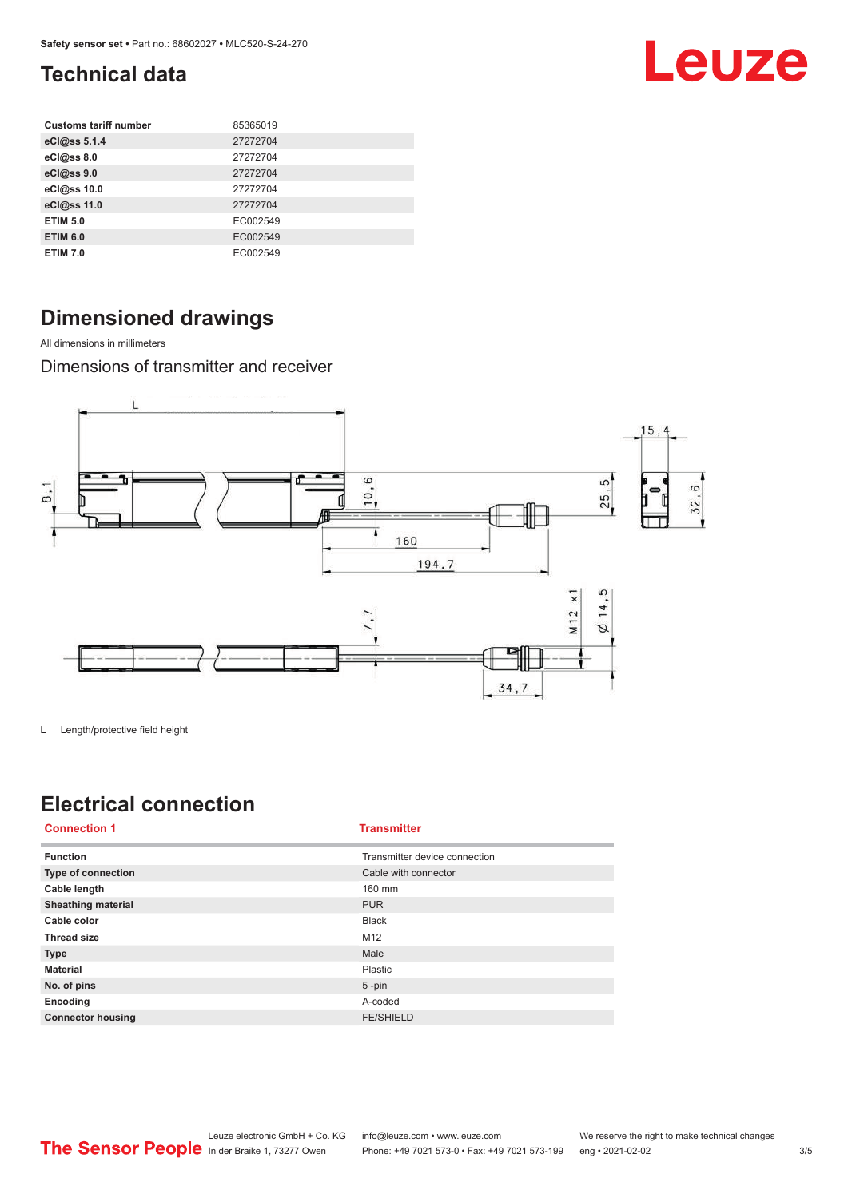## <span id="page-2-0"></span>**Technical data**

| <b>Customs tariff number</b> | 85365019 |
|------------------------------|----------|
| eCl@ss 5.1.4                 | 27272704 |
| eCl@ss 8.0                   | 27272704 |
| eCl@ss 9.0                   | 27272704 |
| eCl@ss 10.0                  | 27272704 |
| eCl@ss 11.0                  | 27272704 |
| <b>ETIM 5.0</b>              | EC002549 |
| <b>ETIM 6.0</b>              | EC002549 |
| <b>ETIM 7.0</b>              | EC002549 |

## **Dimensioned drawings**

All dimensions in millimeters

Dimensions of transmitter and receiver



L Length/protective field height

## **Electrical connection**

| <b>Connection 1</b>       | <b>Transmitter</b>            |
|---------------------------|-------------------------------|
| <b>Function</b>           | Transmitter device connection |
| <b>Type of connection</b> | Cable with connector          |
| Cable length              | 160 mm                        |
| <b>Sheathing material</b> | <b>PUR</b>                    |
| Cable color               | <b>Black</b>                  |
| <b>Thread size</b>        | M12                           |
| <b>Type</b>               | Male                          |
| <b>Material</b>           | Plastic                       |
| No. of pins               | $5$ -pin                      |
| Encoding                  | A-coded                       |
| <b>Connector housing</b>  | <b>FE/SHIELD</b>              |

Leuze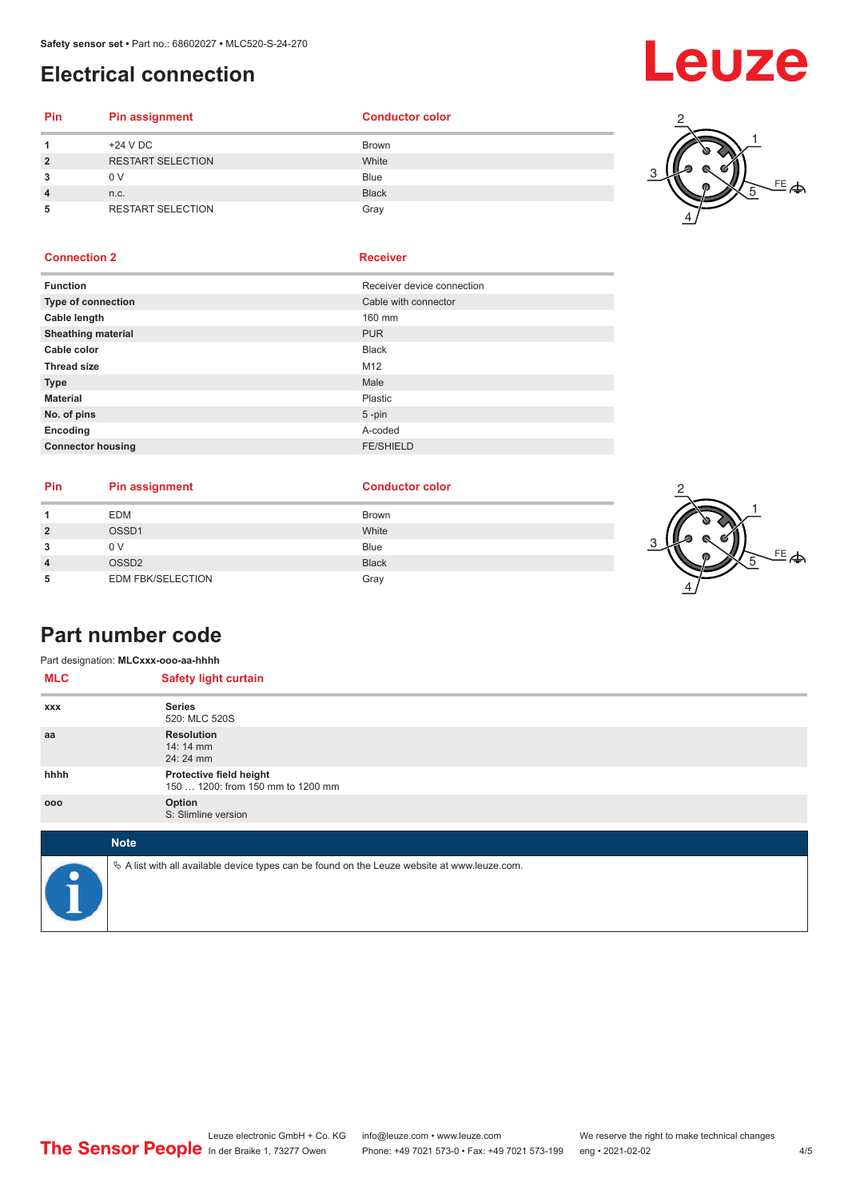## <span id="page-3-0"></span>**Electrical connection**

# Leuze

### **Pin Pin assignment Conductor Conductor Color 1** +24 V DC Brown **2** RESTART SELECTION White **3** 0 V Blue

**4** n.c. Black **5** RESTART SELECTION Gray



### **Connection 2 Receiver**

| <b>Function</b>           | Receiver device connection |
|---------------------------|----------------------------|
| Type of connection        | Cable with connector       |
| Cable length              | 160 mm                     |
| <b>Sheathing material</b> | <b>PUR</b>                 |
| Cable color               | <b>Black</b>               |
| <b>Thread size</b>        | M <sub>12</sub>            |
| <b>Type</b>               | Male                       |
| <b>Material</b>           | Plastic                    |
| No. of pins               | $5$ -pin                   |
| Encoding                  | A-coded                    |
| <b>Connector housing</b>  | <b>FE/SHIELD</b>           |
|                           |                            |

| <b>Pin</b> | <b>Pin assignment</b>    | <b>Conductor color</b> |  |
|------------|--------------------------|------------------------|--|
|            | <b>EDM</b>               | <b>Brown</b>           |  |
|            | OSSD1                    | White                  |  |
|            | 0 V                      | <b>Blue</b>            |  |
|            | OSSD <sub>2</sub>        | <b>Black</b>           |  |
|            | <b>EDM FBK/SELECTION</b> | Gray                   |  |



## **Part number code**

| Part designation: MLCxxx-ooo-aa-hhhh |                                                                                                 |  |  |  |  |
|--------------------------------------|-------------------------------------------------------------------------------------------------|--|--|--|--|
| <b>MLC</b>                           | <b>Safety light curtain</b>                                                                     |  |  |  |  |
| <b>XXX</b>                           | <b>Series</b><br>520: MLC 520S                                                                  |  |  |  |  |
| aa                                   | <b>Resolution</b><br>$14:14 \, \text{mm}$<br>24: 24 mm                                          |  |  |  |  |
| hhhh                                 | Protective field height<br>150  1200: from 150 mm to 1200 mm                                    |  |  |  |  |
| 000                                  | Option<br>S: Slimline version                                                                   |  |  |  |  |
|                                      | <b>Note</b>                                                                                     |  |  |  |  |
|                                      | $\&$ A list with all available device types can be found on the Leuze website at www.leuze.com. |  |  |  |  |